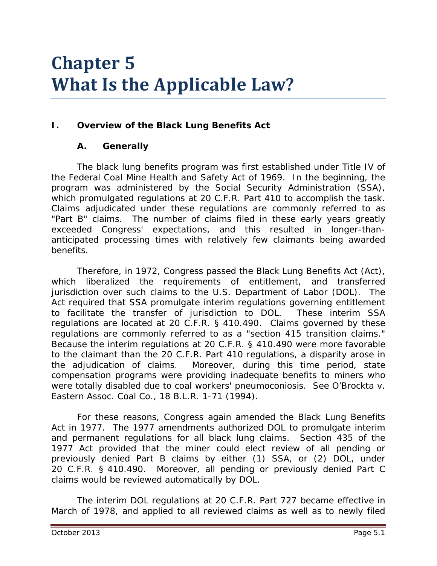# **Chapter 5 What Is the Applicable Law?**

# **I. Overview of the Black Lung Benefits Act**

### **A. Generally**

The black lung benefits program was first established under Title IV of the Federal Coal Mine Health and Safety Act of 1969. In the beginning, the program was administered by the Social Security Administration (SSA), which promulgated regulations at 20 C.F.R. Part 410 to accomplish the task. Claims adjudicated under these regulations are commonly referred to as "Part B" claims. The number of claims filed in these early years greatly exceeded Congress' expectations, and this resulted in longer-thananticipated processing times with relatively few claimants being awarded benefits.

Therefore, in 1972, Congress passed the Black Lung Benefits Act (Act), which liberalized the requirements of entitlement, and transferred jurisdiction over such claims to the U.S. Department of Labor (DOL). The Act required that SSA promulgate interim regulations governing entitlement to facilitate the transfer of jurisdiction to DOL. These interim SSA regulations are located at 20 C.F.R. § 410.490. Claims governed by these regulations are commonly referred to as a "section 415 transition claims." Because the interim regulations at 20 C.F.R. § 410.490 were more favorable to the claimant than the 20 C.F.R. Part 410 regulations, a disparity arose in the adjudication of claims. Moreover, during this time period, state compensation programs were providing inadequate benefits to miners who were totally disabled due to coal workers' pneumoconiosis. *See O'Brockta v. Eastern Assoc. Coal Co.,* 18 B.L.R. 1-71 (1994).

For these reasons, Congress again amended the Black Lung Benefits Act in 1977. The 1977 amendments authorized DOL to promulgate interim and permanent regulations for all black lung claims. Section 435 of the 1977 Act provided that the miner could elect review of all pending or previously denied Part B claims by either (1) SSA, or (2) DOL, under 20 C.F.R. § 410.490. Moreover, all pending or previously denied Part C claims would be reviewed automatically by DOL.

The interim DOL regulations at 20 C.F.R. Part 727 became effective in March of 1978, and applied to all reviewed claims as well as to newly filed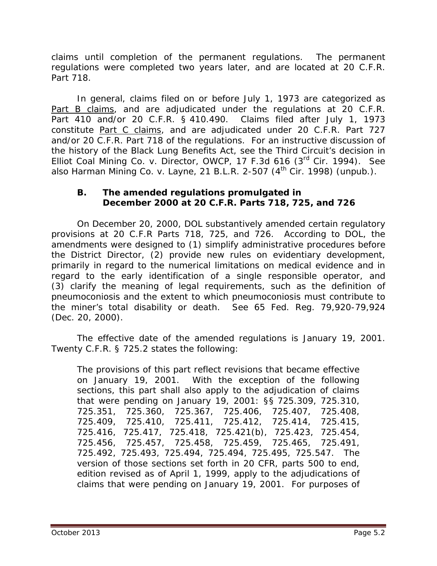claims until completion of the permanent regulations. The permanent regulations were completed two years later, and are located at 20 C.F.R. Part 718.

In general, claims filed on or before July 1, 1973 are categorized as Part B claims, and are adjudicated under the regulations at 20 C.F.R. Part 410 and/or 20 C.F.R. § 410.490. Claims filed after July 1, 1973 constitute Part C claims, and are adjudicated under 20 C.F.R. Part 727 and/or 20 C.F.R. Part 718 of the regulations. For an instructive discussion of the history of the Black Lung Benefits Act, see the Third Circuit's decision in *Elliot Coal Mining Co. v. Director, OWCP,* 17 F.3d 616 (3rd Cir. 1994). *See also Harman Mining Co. v. Layne*, 21 B.L.R. 2-507 (4th Cir. 1998) (unpub.).

#### **B. The amended regulations promulgated in December 2000 at 20 C.F.R. Parts 718, 725, and 726**

On December 20, 2000, DOL substantively amended certain regulatory provisions at 20 C.F.R Parts 718, 725, and 726. According to DOL, the amendments were designed to (1) simplify administrative procedures before the District Director, (2) provide new rules on evidentiary development, primarily in regard to the numerical limitations on medical evidence and in regard to the early identification of a single responsible operator, and (3) clarify the meaning of legal requirements, such as the definition of pneumoconiosis and the extent to which pneumoconiosis must contribute to the miner's total disability or death. *See* 65 Fed. Reg. 79,920-79,924 (Dec. 20, 2000).

The effective date of the amended regulations is January 19, 2001. Twenty C.F.R. § 725.2 states the following:

The provisions of this part reflect revisions that became effective on January 19, 2001. With the exception of the following sections, this part shall also apply to the adjudication of claims that were pending on January 19, 2001: §§ 725.309, 725.310, 725.351, 725.360, 725.367, 725.406, 725.407, 725.408, 725.409, 725.410, 725.411, 725.412, 725.414, 725.415, 725.416, 725.417, 725.418, 725.421(b), 725.423, 725.454, 725.456, 725.457, 725.458, 725.459, 725.465, 725.491, 725.492, 725.493, 725.494, 725.494, 725.495, 725.547. The version of those sections set forth in 20 CFR, parts 500 to end, edition revised as of April 1, 1999, apply to the adjudications of claims that were pending on January 19, 2001. For purposes of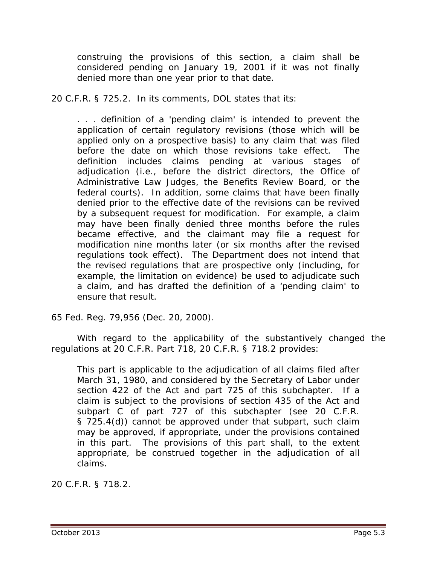construing the provisions of this section, a claim shall be considered pending on January 19, 2001 if it was not finally denied more than one year prior to that date.

20 C.F.R. § 725.2. In its comments, DOL states that its:

. . . definition of a 'pending claim' is intended to prevent the application of certain regulatory revisions (those which will be applied only on a prospective basis) to any claim that was filed before the date on which those revisions take effect. The definition includes claims pending at various stages of adjudication (*i.e.*, before the district directors, the Office of Administrative Law Judges, the Benefits Review Board, or the federal courts). In addition, some claims that have been finally denied prior to the effective date of the revisions can be revived by a subsequent request for modification. For example, a claim may have been finally denied three months before the rules became effective, and the claimant may file a request for modification nine months later (or six months after the revised regulations took effect). The Department does not intend that the revised regulations that are prospective only (including, for example, the limitation on evidence) be used to adjudicate such a claim, and has drafted the definition of a 'pending claim' to ensure that result.

65 Fed. Reg. 79,956 (Dec. 20, 2000).

With regard to the applicability of the substantively changed the regulations at 20 C.F.R. Part 718, 20 C.F.R. § 718.2 provides:

This part is applicable to the adjudication of all claims filed after March 31, 1980, and considered by the Secretary of Labor under section 422 of the Act and part 725 of this subchapter. If a claim is subject to the provisions of section 435 of the Act and subpart C of part 727 of this subchapter (see 20 C.F.R. § 725.4(d)) cannot be approved under that subpart, such claim may be approved, if appropriate, under the provisions contained in this part. The provisions of this part shall, to the extent appropriate, be construed together in the adjudication of all claims.

20 C.F.R. § 718.2.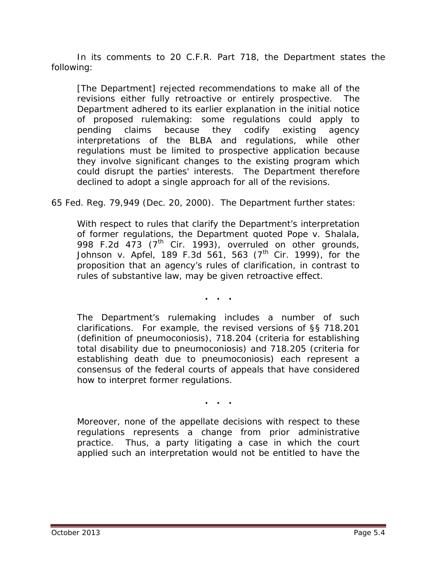In its comments to 20 C.F.R. Part 718, the Department states the following:

[The Department] rejected recommendations to make all of the revisions either fully retroactive or entirely prospective. The Department adhered to its earlier explanation in the initial notice of proposed rulemaking: some regulations could apply to pending claims because they codify existing agency interpretations of the BLBA and regulations, while other regulations must be limited to prospective application because they involve significant changes to the existing program which could disrupt the parties' interests. The Department therefore declined to adopt a single approach for all of the revisions.

65 Fed. Reg. 79,949 (Dec. 20, 2000). The Department further states:

With respect to rules that clarify the Department's interpretation of former regulations, the Department quoted *Pope v. Shalala*, 998 F.2d 473 (7<sup>th</sup> Cir. 1993), overruled on other grounds, *Johnson v. Apfel*, 189 F.3d 561, 563 (7<sup>th</sup> Cir. 1999), for the proposition that an agency's rules of clarification, in contrast to rules of substantive law, may be given retroactive effect.

**. . .**

The Department's rulemaking includes a number of such clarifications. For example, the revised versions of §§ 718.201 (definition of pneumoconiosis), 718.204 (criteria for establishing total disability due to pneumoconiosis) and 718.205 (criteria for establishing death due to pneumoconiosis) each represent a consensus of the federal courts of appeals that have considered how to interpret former regulations.

**. . .**

Moreover, none of the appellate decisions with respect to these regulations represents a change from prior administrative practice. Thus, a party litigating a case in which the court applied such an interpretation would not be entitled to have the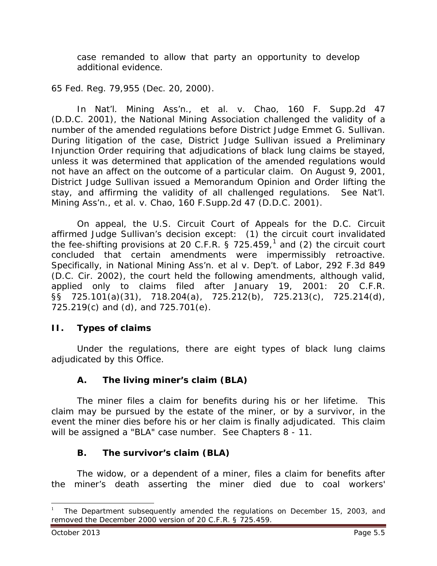case remanded to allow that party an opportunity to develop additional evidence.

65 Fed. Reg. 79,955 (Dec. 20, 2000).

In *Nat'l. Mining Ass'n., et al. v. Chao*, 160 F. Supp.2d 47 (D.D.C. 2001), the National Mining Association challenged the validity of a number of the amended regulations before District Judge Emmet G. Sullivan. During litigation of the case, District Judge Sullivan issued a *Preliminary Injunction Order* requiring that adjudications of black lung claims be stayed, unless it was determined that application of the amended regulations would not have an affect on the outcome of a particular claim. On August 9, 2001, District Judge Sullivan issued a *Memorandum Opinion and Order* lifting the stay, and affirming the validity of all challenged regulations. *See Nat'l. Mining Ass'n., et al. v. Chao*, 160 F.Supp.2d 47 (D.D.C. 2001).

On appeal, the U.S. Circuit Court of Appeals for the D.C. Circuit affirmed Judge Sullivan's decision except: (1) the circuit court invalidated the fee-shifting provisions at 20 C.F.R. § 725.459, $^1$  $^1$  and (2) the circuit court concluded that certain amendments were impermissibly retroactive. Specifically, in *National Mining Ass'n. et al v. Dep't. of Labor*, 292 F.3d 849 (D.C. Cir. 2002), the court held the following amendments, although valid, applied only to claims filed after January 19, 2001: 20 C.F.R. §§ 725.101(a)(31), 718.204(a), 725.212(b), 725.213(c), 725.214(d), 725.219(c) and (d), and 725.701(e).

### **II. Types of claims**

Under the regulations, there are eight types of black lung claims adjudicated by this Office.

### **A. The living miner's claim (BLA)**

The miner files a claim for benefits during his or her lifetime. This claim may be pursued by the estate of the miner, or by a survivor, in the event the miner dies before his or her claim is finally adjudicated. This claim will be assigned a "BLA" case number. *See* Chapters 8 - 11*.*

### **B. The survivor's claim (BLA)**

The widow, or a dependent of a miner, files a claim for benefits after the miner's death asserting the miner died due to coal workers'

<span id="page-4-0"></span><sup>1</sup> The Department subsequently amended the regulations on December 15, 2003, and removed the December 2000 version of 20 C.F.R. § 725.459.  $\overline{a}$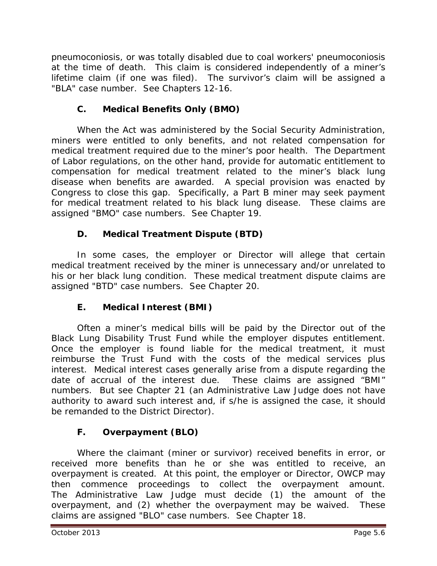pneumoconiosis, or was totally disabled due to coal workers' pneumoconiosis at the time of death. This claim is considered independently of a miner's lifetime claim (if one was filed). The survivor's claim will be assigned a "BLA" case number. *See* Chapters 12-16.

# **C. Medical Benefits Only (BMO)**

When the Act was administered by the Social Security Administration, miners were entitled to only benefits, and not related compensation for medical treatment required due to the miner's poor health. The Department of Labor regulations, on the other hand, provide for automatic entitlement to compensation for medical treatment related to the miner's black lung disease when benefits are awarded. A special provision was enacted by Congress to close this gap. Specifically, a Part B miner may seek payment for medical treatment related to his black lung disease. These claims are assigned "BMO" case numbers. *See* Chapter 19.

# **D. Medical Treatment Dispute (BTD)**

In some cases, the employer or Director will allege that certain medical treatment received by the miner is unnecessary and/or unrelated to his or her black lung condition. These medical treatment dispute claims are assigned "BTD" case numbers. *See* Chapter 20*.*

# **E. Medical Interest (BMI)**

Often a miner's medical bills will be paid by the Director out of the Black Lung Disability Trust Fund while the employer disputes entitlement. Once the employer is found liable for the medical treatment, it must reimburse the Trust Fund with the costs of the medical services plus interest. Medical interest cases generally arise from a dispute regarding the date of accrual of the interest due. These claims are assigned "BMI" numbers. *But see* Chapter 21 (an Administrative Law Judge does not have authority to award such interest and, if s/he is assigned the case, it should be remanded to the District Director).

# **F. Overpayment (BLO)**

Where the claimant (miner or survivor) received benefits in error, or received more benefits than he or she was entitled to receive, an overpayment is created. At this point, the employer or Director, OWCP may then commence proceedings to collect the overpayment amount. The Administrative Law Judge must decide (1) the amount of the overpayment, and (2) whether the overpayment may be waived. These claims are assigned "BLO" case numbers. *See* Chapter 18.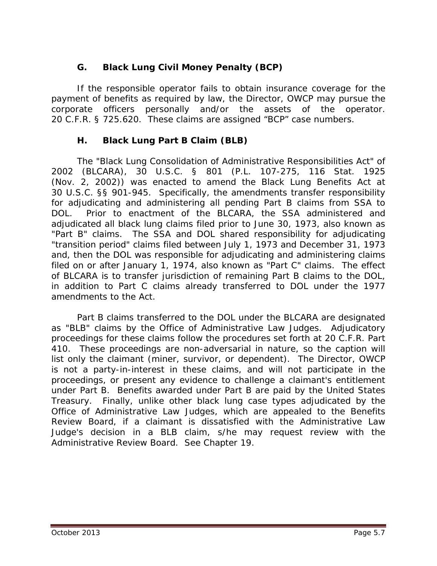# **G. Black Lung Civil Money Penalty (BCP)**

If the responsible operator fails to obtain insurance coverage for the payment of benefits as required by law, the Director, OWCP may pursue the corporate officers personally and/or the assets of the operator. 20 C.F.R. § 725.620. These claims are assigned "BCP" case numbers.

### **H. Black Lung Part B Claim (BLB)**

The "Black Lung Consolidation of Administrative Responsibilities Act" of 2002 (BLCARA), 30 U.S.C. § 801 (P.L. 107-275, 116 Stat. 1925 (Nov. 2, 2002)) was enacted to amend the Black Lung Benefits Act at 30 U.S.C. §§ 901-945. Specifically, the amendments transfer responsibility for adjudicating and administering all pending Part B claims from SSA to DOL. Prior to enactment of the BLCARA, the SSA administered and adjudicated all black lung claims filed prior to June 30, 1973, also known as "Part B" claims. The SSA and DOL shared responsibility for adjudicating "transition period" claims filed between July 1, 1973 and December 31, 1973 and, then the DOL was responsible for adjudicating and administering claims filed on or after January 1, 1974, also known as "Part C" claims. The effect of BLCARA is to transfer jurisdiction of remaining Part B claims to the DOL, in addition to Part C claims already transferred to DOL under the 1977 amendments to the Act.

Part B claims transferred to the DOL under the BLCARA are designated as "BLB" claims by the Office of Administrative Law Judges. Adjudicatory proceedings for these claims follow the procedures set forth at 20 C.F.R. Part 410. These proceedings are non-adversarial in nature, so the caption will list only the claimant (miner, survivor, or dependent). The Director, OWCP is not a party-in-interest in these claims, and will not participate in the proceedings, or present any evidence to challenge a claimant's entitlement under Part B. Benefits awarded under Part B are paid by the United States Treasury. Finally, unlike other black lung case types adjudicated by the Office of Administrative Law Judges, which are appealed to the Benefits Review Board, if a claimant is dissatisfied with the Administrative Law Judge's decision in a BLB claim, s/he may request review with the Administrative Review Board. *See* Chapter 19.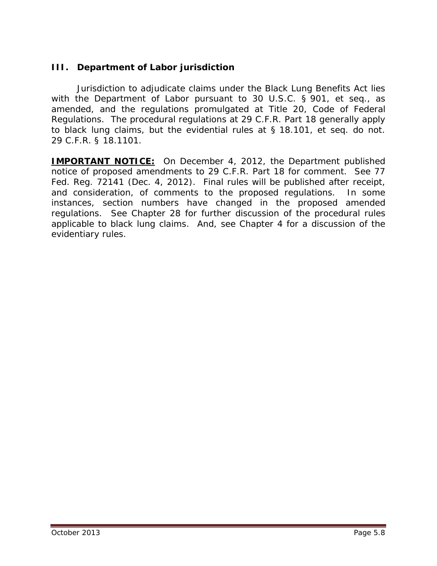# **III. Department of Labor jurisdiction**

Jurisdiction to adjudicate claims under the Black Lung Benefits Act lies with the Department of Labor pursuant to 30 U.S.C. § 901, *et seq.*, as amended, and the regulations promulgated at Title 20, Code of Federal Regulations. The procedural regulations at 29 C.F.R. Part 18 generally apply to black lung claims, but the evidential rules at § 18.101, *et seq.* do not. 29 C.F.R. § 18.1101.

**IMPORTANT NOTICE:** On December 4, 2012, the Department published notice of proposed amendments to 29 C.F.R. Part 18 for comment. *See* 77 Fed. Reg. 72141 (Dec. 4, 2012). Final rules will be published after receipt, and consideration, of comments to the proposed regulations. In some instances, section numbers have changed in the proposed amended regulations. *See* Chapter 28 for further discussion of the procedural rules applicable to black lung claims. And, *see* Chapter 4 for a discussion of the evidentiary rules.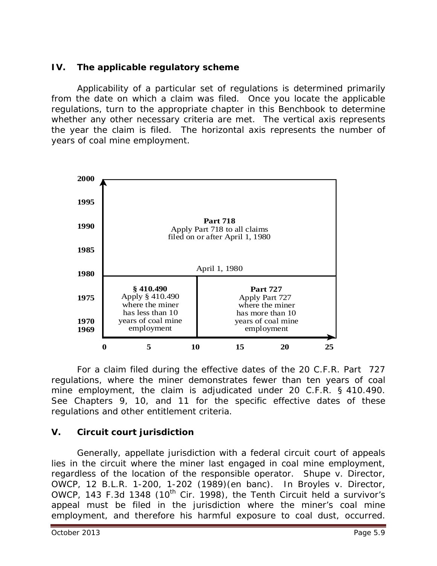### **IV. The applicable regulatory scheme**

Applicability of a particular set of regulations is determined primarily from the date on which a claim was filed. Once you locate the applicable regulations, turn to the appropriate chapter in this *Benchbook* to determine whether any other necessary criteria are met. The vertical axis represents the year the claim is filed. The horizontal axis represents the number of years of coal mine employment.



For a claim filed during the effective dates of the 20 C.F.R. Part 727 regulations, where the miner demonstrates fewer than ten years of coal mine employment, the claim is adjudicated under 20 C.F.R. § 410.490. *See* Chapters 9, 10, and 11 for the specific effective dates of these regulations and other entitlement criteria.

### **V. Circuit court jurisdiction**

Generally, appellate jurisdiction with a federal circuit court of appeals lies in the circuit where the miner last engaged in coal mine employment, regardless of the location of the responsible operator. *Shupe v. Director, OWCP*, 12 B.L.R. 1-200, 1-202 (1989)(en banc). In *Broyles v. Director, OWCP*, 143 F.3d 1348 (10<sup>th</sup> Cir. 1998), the Tenth Circuit held a survivor's appeal must be filed in the jurisdiction where the miner's coal mine employment, and therefore his harmful exposure to coal dust, occurred.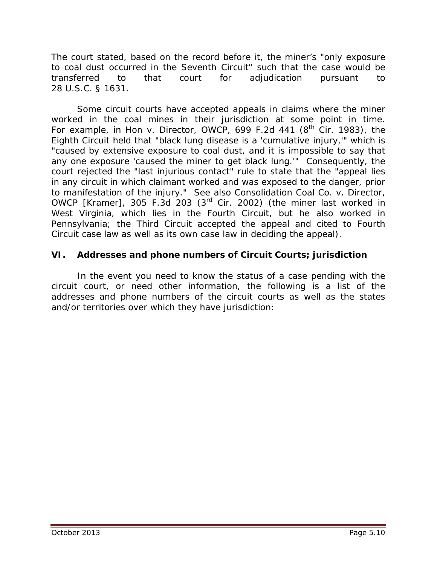The court stated, based on the record before it, the miner's "only exposure to coal dust occurred in the Seventh Circuit" such that the case would be transferred to that court for adjudication pursuant to 28 U.S.C. § 1631.

Some circuit courts have accepted appeals in claims where the miner worked in the coal mines in their jurisdiction *at some point in time*. For example, in *Hon v. Director, OWCP*, 699 F.2d 441 (8<sup>th</sup> Cir. 1983), the Eighth Circuit held that "black lung disease is a 'cumulative injury,'" which is "caused by extensive exposure to coal dust, and it is impossible to say that any one exposure 'caused the miner to get black lung.'" Consequently, the court rejected the "last injurious contact" rule to state that the "appeal lies in any circuit in which claimant worked and was exposed to the danger, prior to manifestation of the injury." *See also Consolidation Coal Co. v. Director, OWCP [Kramer]*, 305 F.3d 203 (3rd Cir. 2002) (the miner last worked in West Virginia, which lies in the Fourth Circuit, but he also worked in Pennsylvania; the Third Circuit accepted the appeal and cited to Fourth Circuit case law as well as its own case law in deciding the appeal).

### **VI. Addresses and phone numbers of Circuit Courts; jurisdiction**

In the event you need to know the status of a case pending with the circuit court, or need other information, the following is a list of the addresses and phone numbers of the circuit courts as well as the states and/or territories over which they have jurisdiction: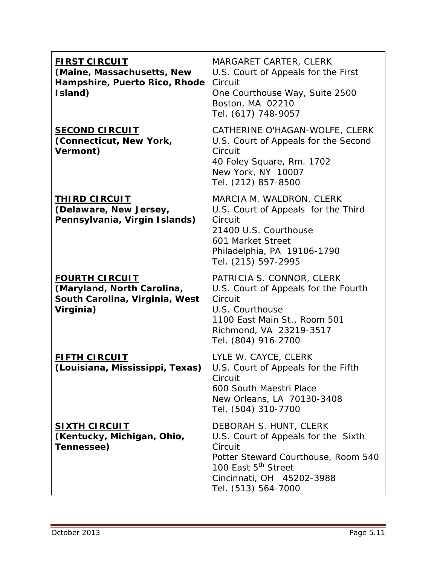### **FIRST CIRCUIT**

**(Maine, Massachusetts, New Hampshire, Puerto Rico, Rhode**  Circuit **Island)**

#### **SECOND CIRCUIT (Connecticut, New York, Vermont)**

#### **THIRD CIRCUIT (Delaware, New Jersey, Pennsylvania, Virgin Islands)**

#### **FOURTH CIRCUIT (Maryland, North Carolina, South Carolina, Virginia, West Virginia)**

# **FIFTH CIRCUIT**

**(Louisiana, Mississippi, Texas)**

### **SIXTH CIRCUIT (Kentucky, Michigan, Ohio,**

**Tennessee)**

MARGARET CARTER, CLERK U.S. Court of Appeals for the First One Courthouse Way, Suite 2500 Boston, MA 02210

Tel. (617) 748-9057

CATHERINE O'HAGAN-WOLFE, CLERK U.S. Court of Appeals for the Second Circuit 40 Foley Square, Rm. 1702 New York, NY 10007 Tel. (212) 857-8500

MARCIA M. WALDRON, CLERK U.S. Court of Appeals for the Third **Circuit** 21400 U.S. Courthouse 601 Market Street Philadelphia, PA 19106-1790 Tel. (215) 597-2995

PATRICIA S. CONNOR, CLERK U.S. Court of Appeals for the Fourth **Circuit** U.S. Courthouse 1100 East Main St., Room 501 Richmond, VA 23219-3517 Tel. (804) 916-2700

LYLE W. CAYCE, CLERK U.S. Court of Appeals for the Fifth Circuit 600 South Maestri Place New Orleans, LA 70130-3408 Tel. (504) 310-7700

DEBORAH S. HUNT, CLERK U.S. Court of Appeals for the Sixth **Circuit** Potter Steward Courthouse, Room 540 100 East 5<sup>th</sup> Street Cincinnati, OH 45202-3988 Tel. (513) 564-7000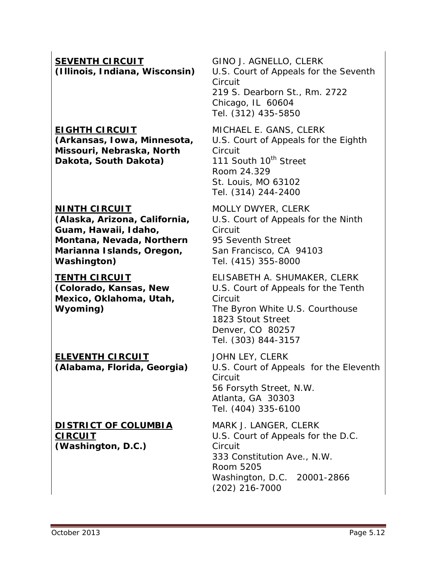**SEVENTH CIRCUIT (Illinois, Indiana, Wisconsin)**

#### **EIGHTH CIRCUIT**

**(Arkansas, Iowa, Minnesota, Missouri, Nebraska, North Dakota, South Dakota)**

#### **NINTH CIRCUIT**

**(Alaska, Arizona, California, Guam, Hawaii, Idaho, Montana, Nevada, Northern Marianna Islands, Oregon, Washington)**

#### **TENTH CIRCUIT**

**(Colorado, Kansas, New Mexico, Oklahoma, Utah, Wyoming)**

**ELEVENTH CIRCUIT (Alabama, Florida, Georgia)**

#### **DISTRICT OF COLUMBIA CIRCUIT (Washington, D.C.)**

GINO J. AGNELLO, CLERK U.S. Court of Appeals for the Seventh **Circuit** 219 S. Dearborn St., Rm. 2722 Chicago, IL 60604 Tel. (312) 435-5850

MICHAEL E. GANS, CLERK U.S. Court of Appeals for the Eighth Circuit 111 South 10<sup>th</sup> Street Room 24.329 St. Louis, MO 63102 Tel. (314) 244-2400

MOLLY DWYER, CLERK U.S. Court of Appeals for the Ninth Circuit 95 Seventh Street San Francisco, CA 94103 Tel. (415) 355-8000

ELISABETH A. SHUMAKER, CLERK U.S. Court of Appeals for the Tenth **Circuit** The Byron White U.S. Courthouse 1823 Stout Street Denver, CO 80257 Tel. (303) 844-3157

JOHN LEY, CLERK U.S. Court of Appeals for the Eleventh Circuit 56 Forsyth Street, N.W. Atlanta, GA 30303 Tel. (404) 335-6100

MARK J. LANGER, CLERK U.S. Court of Appeals for the D.C. **Circuit** 333 Constitution Ave., N.W. Room 5205 Washington, D.C. 20001-2866 (202) 216-7000